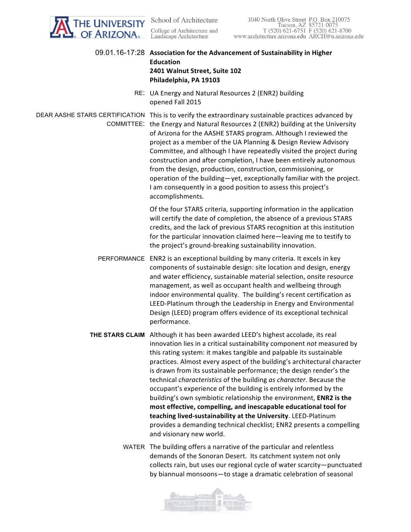| The Univer <mark>sity</mark><br>• of Arizona | 1040 North Olive Street P.O. Box 210075<br>School of Architecture<br>Tucson, AZ 85721-0075<br>College of Architecture and<br>T (520) 621-6751 F (520) 621-8700<br>Landscape Architecture<br>www.architecture.arizona.edu ARCH@u.arizona.edu                                                                                                                                                                                                                                                                                                                                                                                                                                                                                                                                                                                                  |
|----------------------------------------------|----------------------------------------------------------------------------------------------------------------------------------------------------------------------------------------------------------------------------------------------------------------------------------------------------------------------------------------------------------------------------------------------------------------------------------------------------------------------------------------------------------------------------------------------------------------------------------------------------------------------------------------------------------------------------------------------------------------------------------------------------------------------------------------------------------------------------------------------|
|                                              | 09.01.16-17:28 Association for the Advancement of Sustainability in Higher<br><b>Education</b><br>2401 Walnut Street, Suite 102<br>Philadelphia, PA 19103                                                                                                                                                                                                                                                                                                                                                                                                                                                                                                                                                                                                                                                                                    |
|                                              | RE: UA Energy and Natural Resources 2 (ENR2) building<br>opened Fall 2015                                                                                                                                                                                                                                                                                                                                                                                                                                                                                                                                                                                                                                                                                                                                                                    |
|                                              | DEAR AASHE STARS CERTIFICATION This is to verify the extraordinary sustainable practices advanced by<br>COMMITTEE: the Energy and Natural Resources 2 (ENR2) building at the University<br>of Arizona for the AASHE STARS program. Although I reviewed the<br>project as a member of the UA Planning & Design Review Advisory<br>Committee, and although I have repeatedly visited the project during<br>construction and after completion, I have been entirely autonomous<br>from the design, production, construction, commissioning, or<br>operation of the building-yet, exceptionally familiar with the project.<br>I am consequently in a good position to assess this project's<br>accomplishments.                                                                                                                                  |
|                                              | Of the four STARS criteria, supporting information in the application<br>will certify the date of completion, the absence of a previous STARS<br>credits, and the lack of previous STARS recognition at this institution<br>for the particular innovation claimed here-leaving me to testify to<br>the project's ground-breaking sustainability innovation.                                                                                                                                                                                                                                                                                                                                                                                                                                                                                  |
|                                              | PERFORMANCE ENR2 is an exceptional building by many criteria. It excels in key<br>components of sustainable design: site location and design, energy<br>and water efficiency, sustainable material selection, onsite resource<br>management, as well as occupant health and wellbeing through<br>indoor environmental quality. The building's recent certification as<br>LEED-Platinum through the Leadership in Energy and Environmental<br>Design (LEED) program offers evidence of its exceptional technical<br>performance.                                                                                                                                                                                                                                                                                                              |
|                                              | THE STARS CLAIM Although it has been awarded LEED's highest accolade, its real<br>innovation lies in a critical sustainability component not measured by<br>this rating system: it makes tangible and palpable its sustainable<br>practices. Almost every aspect of the building's architectural character<br>is drawn from its sustainable performance; the design render's the<br>technical characteristics of the building as character. Because the<br>occupant's experience of the building is entirely informed by the<br>building's own symbiotic relationship the environment, ENR2 is the<br>most effective, compelling, and inescapable educational tool for<br>teaching lived-sustainability at the University. LEED-Platinum<br>provides a demanding technical checklist; ENR2 presents a compelling<br>and visionary new world. |
|                                              | WATER The building offers a narrative of the particular and relentless<br>demands of the Sonoran Desert. Its catchment system not only<br>collects rain, but uses our regional cycle of water scarcity-punctuated<br>by biannual monsoons-to stage a dramatic celebration of seasonal                                                                                                                                                                                                                                                                                                                                                                                                                                                                                                                                                        |